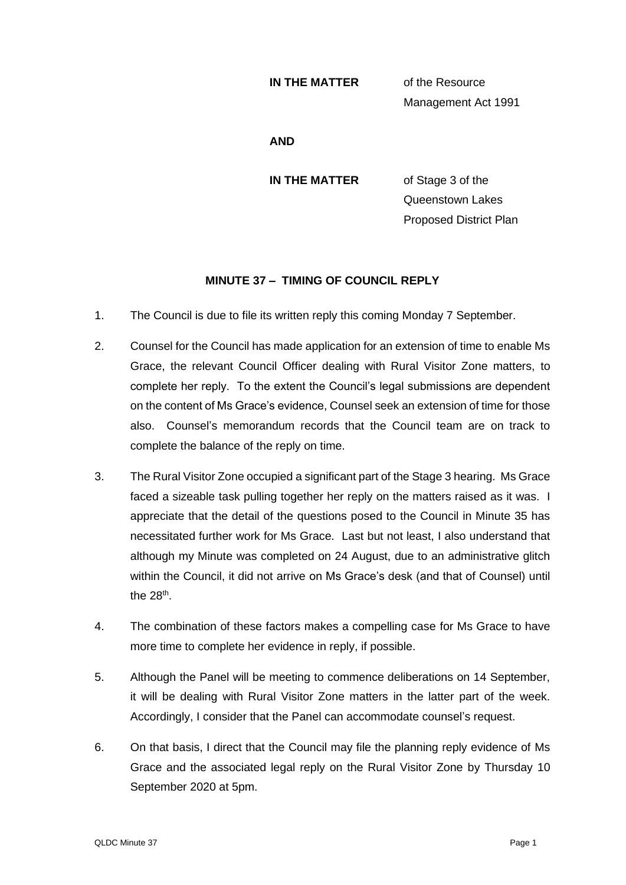#### **IN THE MATTER** of the Resource

Management Act 1991

**AND**

**IN THE MATTER** of Stage 3 of the Queenstown Lakes Proposed District Plan

## **MINUTE 37 – TIMING OF COUNCIL REPLY**

- 1. The Council is due to file its written reply this coming Monday 7 September.
- 2. Counsel for the Council has made application for an extension of time to enable Ms Grace, the relevant Council Officer dealing with Rural Visitor Zone matters, to complete her reply. To the extent the Council's legal submissions are dependent on the content of Ms Grace's evidence, Counsel seek an extension of time for those also. Counsel's memorandum records that the Council team are on track to complete the balance of the reply on time.
- 3. The Rural Visitor Zone occupied a significant part of the Stage 3 hearing. Ms Grace faced a sizeable task pulling together her reply on the matters raised as it was. I appreciate that the detail of the questions posed to the Council in Minute 35 has necessitated further work for Ms Grace. Last but not least, I also understand that although my Minute was completed on 24 August, due to an administrative glitch within the Council, it did not arrive on Ms Grace's desk (and that of Counsel) until the 28<sup>th</sup>.
- 4. The combination of these factors makes a compelling case for Ms Grace to have more time to complete her evidence in reply, if possible.
- 5. Although the Panel will be meeting to commence deliberations on 14 September, it will be dealing with Rural Visitor Zone matters in the latter part of the week. Accordingly, I consider that the Panel can accommodate counsel's request.
- 6. On that basis, I direct that the Council may file the planning reply evidence of Ms Grace and the associated legal reply on the Rural Visitor Zone by Thursday 10 September 2020 at 5pm.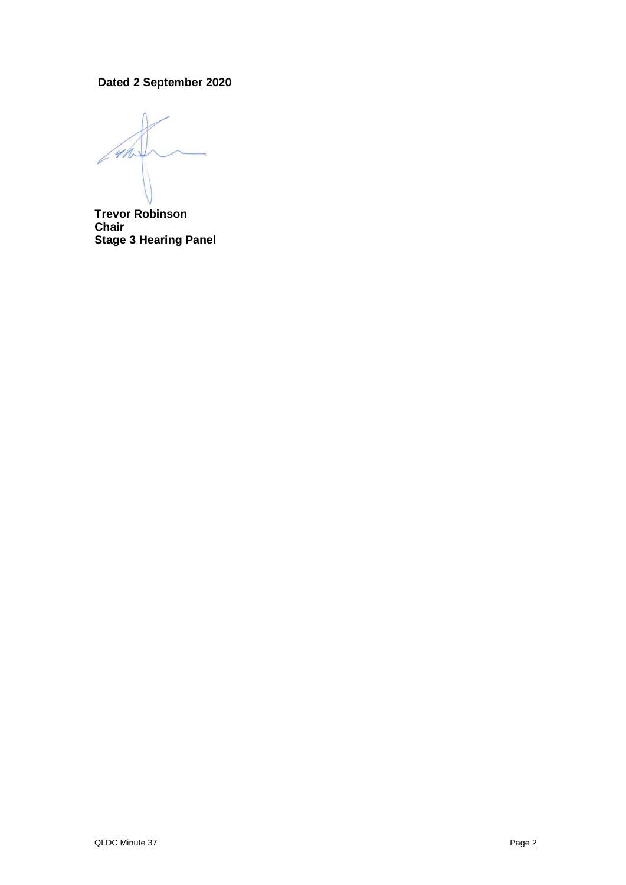# **Dated 2 September 2020**

4/1

**Trevor Robinson Chair Stage 3 Hearing Panel**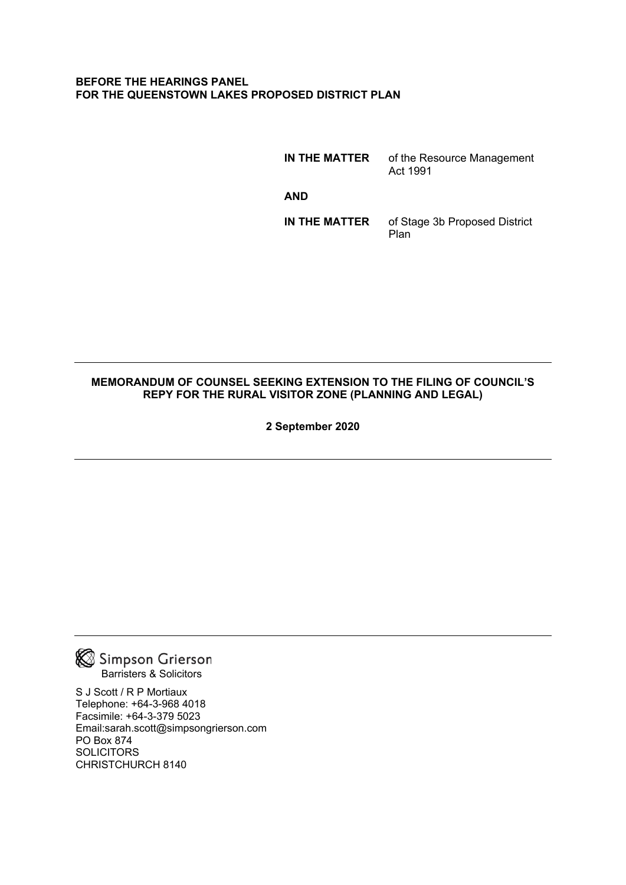#### **BEFORE THE HEARINGS PANEL FOR THE QUEENSTOWN LAKES PROPOSED DISTRICT PLAN**

**IN THE MATTER** of the Resource Management Act 1991 **AND IN THE MATTER** of Stage 3b Proposed District Plan

### **MEMORANDUM OF COUNSEL SEEKING EXTENSION TO THE FILING OF COUNCIL'S REPY FOR THE RURAL VISITOR ZONE (PLANNING AND LEGAL)**

**2 September 2020**



S J Scott / R P Mortiaux Telephone: +64-3-968 4018 Facsimile: +64-3-379 5023 Email:sarah.scott@simpsongrierson.com PO Box 874 **SOLICITORS** CHRISTCHURCH 8140